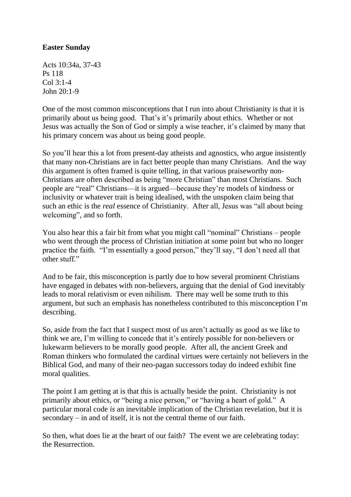## **Easter Sunday**

Acts 10:34a, 37-43 Ps 118 Col 3:1-4 John 20:1-9

One of the most common misconceptions that I run into about Christianity is that it is primarily about us being good. That's it's primarily about ethics. Whether or not Jesus was actually the Son of God or simply a wise teacher, it's claimed by many that his primary concern was about us being good people.

So you'll hear this a lot from present-day atheists and agnostics, who argue insistently that many non-Christians are in fact better people than many Christians. And the way this argument is often framed is quite telling, in that various praiseworthy non-Christians are often described as being "more Christian" than most Christians. Such people are "real" Christians—it is argued—because they're models of kindness or inclusivity or whatever trait is being idealised, with the unspoken claim being that such an ethic is the *real* essence of Christianity. After all, Jesus was "all about being welcoming", and so forth.

You also hear this a fair bit from what you might call "nominal" Christians – people who went through the process of Christian initiation at some point but who no longer practice the faith. "I'm essentially a good person," they'll say, "I don't need all that other stuff."

And to be fair, this misconception is partly due to how several prominent Christians have engaged in debates with non-believers, arguing that the denial of God inevitably leads to moral relativism or even nihilism. There may well be some truth to this argument, but such an emphasis has nonetheless contributed to this misconception I'm describing.

So, aside from the fact that I suspect most of us aren't actually as good as we like to think we are, I'm willing to concede that it's entirely possible for non-believers or lukewarm believers to be morally good people. After all, the ancient Greek and Roman thinkers who formulated the cardinal virtues were certainly not believers in the Biblical God, and many of their neo-pagan successors today do indeed exhibit fine moral qualities.

The point I am getting at is that this is actually beside the point. Christianity is not primarily about ethics, or "being a nice person," or "having a heart of gold." A particular moral code *is* an inevitable implication of the Christian revelation, but it is secondary – in and of itself, it is not the central theme of our faith.

So then, what does lie at the heart of our faith? The event we are celebrating today: the Resurrection.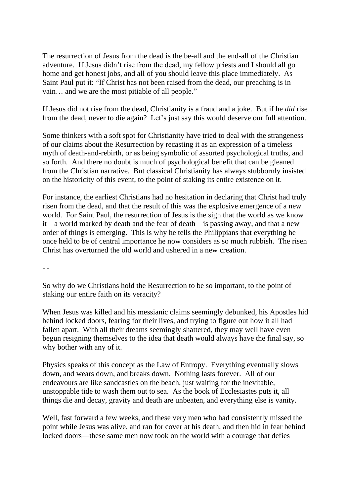The resurrection of Jesus from the dead is the be-all and the end-all of the Christian adventure. If Jesus didn't rise from the dead, my fellow priests and I should all go home and get honest jobs, and all of you should leave this place immediately. As Saint Paul put it: "If Christ has not been raised from the dead, our preaching is in vain… and we are the most pitiable of all people."

If Jesus did not rise from the dead, Christianity is a fraud and a joke. But if he *did* rise from the dead, never to die again? Let's just say this would deserve our full attention.

Some thinkers with a soft spot for Christianity have tried to deal with the strangeness of our claims about the Resurrection by recasting it as an expression of a timeless myth of death-and-rebirth, or as being symbolic of assorted psychological truths, and so forth. And there no doubt is much of psychological benefit that can be gleaned from the Christian narrative. But classical Christianity has always stubbornly insisted on the historicity of this event, to the point of staking its entire existence on it.

For instance, the earliest Christians had no hesitation in declaring that Christ had truly risen from the dead, and that the result of this was the explosive emergence of a new world. For Saint Paul, the resurrection of Jesus is the sign that the world as we know it—a world marked by death and the fear of death—is passing away, and that a new order of things is emerging. This is why he tells the Philippians that everything he once held to be of central importance he now considers as so much rubbish. The risen Christ has overturned the old world and ushered in a new creation.

- -

So why do we Christians hold the Resurrection to be so important, to the point of staking our entire faith on its veracity?

When Jesus was killed and his messianic claims seemingly debunked, his Apostles hid behind locked doors, fearing for their lives, and trying to figure out how it all had fallen apart. With all their dreams seemingly shattered, they may well have even begun resigning themselves to the idea that death would always have the final say, so why bother with any of it.

Physics speaks of this concept as the Law of Entropy. Everything eventually slows down, and wears down, and breaks down. Nothing lasts forever. All of our endeavours are like sandcastles on the beach, just waiting for the inevitable, unstoppable tide to wash them out to sea. As the book of Ecclesiastes puts it, all things die and decay, gravity and death are unbeaten, and everything else is vanity.

Well, fast forward a few weeks, and these very men who had consistently missed the point while Jesus was alive, and ran for cover at his death, and then hid in fear behind locked doors—these same men now took on the world with a courage that defies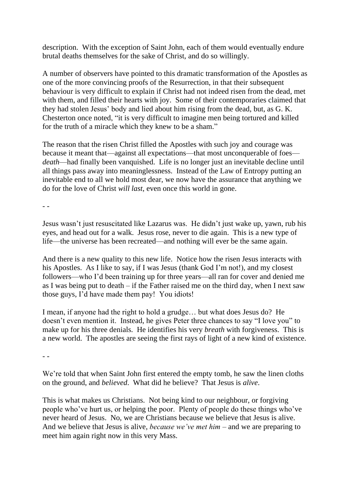description. With the exception of Saint John, each of them would eventually endure brutal deaths themselves for the sake of Christ, and do so willingly.

A number of observers have pointed to this dramatic transformation of the Apostles as one of the more convincing proofs of the Resurrection, in that their subsequent behaviour is very difficult to explain if Christ had not indeed risen from the dead, met with them, and filled their hearts with joy. Some of their contemporaries claimed that they had stolen Jesus' body and lied about him rising from the dead, but, as G. K. Chesterton once noted, "it is very difficult to imagine men being tortured and killed for the truth of a miracle which they knew to be a sham."

The reason that the risen Christ filled the Apostles with such joy and courage was because it meant that—against all expectations—that most unconquerable of foes *death*—had finally been vanquished. Life is no longer just an inevitable decline until all things pass away into meaninglessness. Instead of the Law of Entropy putting an inevitable end to all we hold most dear, we now have the assurance that anything we do for the love of Christ *will last*, even once this world in gone.

- -

Jesus wasn't just resuscitated like Lazarus was. He didn't just wake up, yawn, rub his eyes, and head out for a walk. Jesus rose, never to die again. This is a new type of life—the universe has been recreated—and nothing will ever be the same again.

And there is a new quality to this new life. Notice how the risen Jesus interacts with his Apostles. As I like to say, if I was Jesus (thank God I'm not!), and my closest followers—who I'd been training up for three years—all ran for cover and denied me as I was being put to death – if the Father raised me on the third day, when I next saw those guys, I'd have made them pay! You idiots!

I mean, if anyone had the right to hold a grudge… but what does Jesus do? He doesn't even mention it. Instead, he gives Peter three chances to say "I love you" to make up for his three denials. He identifies his very *breath* with forgiveness. This is a new world. The apostles are seeing the first rays of light of a new kind of existence.

- -

We're told that when Saint John first entered the empty tomb, he saw the linen cloths on the ground, and *believed*. What did he believe? That Jesus is *alive*.

This is what makes us Christians. Not being kind to our neighbour, or forgiving people who've hurt us, or helping the poor. Plenty of people do these things who've never heard of Jesus. No, we are Christians because we believe that Jesus is alive. And we believe that Jesus is alive, *because we've met him* – and we are preparing to meet him again right now in this very Mass.